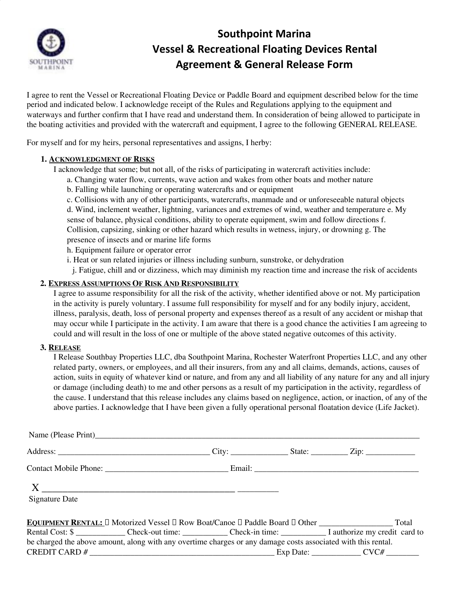

## **Southpoint Marina Vessel & Recreational Floating Devices Rental Agreement & General Release Form**

I agree to rent the Vessel or Recreational Floating Device or Paddle Board and equipment described below for the time period and indicated below. I acknowledge receipt of the Rules and Regulations applying to the equipment and waterways and further confirm that I have read and understand them. In consideration of being allowed to participate in the boating activities and provided with the watercraft and equipment, I agree to the following GENERAL RELEASE.

For myself and for my heirs, personal representatives and assigns, I herby:

## **1. ACKNOWLEDGMENT OF RISKS**

I acknowledge that some; but not all, of the risks of participating in watercraft activities include:

- a. Changing water flow, currents, wave action and wakes from other boats and mother nature
- b. Falling while launching or operating watercrafts and or equipment
- c. Collisions with any of other participants, watercrafts, manmade and or unforeseeable natural objects

d. Wind, inclement weather, lightning, variances and extremes of wind, weather and temperature e. My sense of balance, physical conditions, ability to operate equipment, swim and follow directions f. Collision, capsizing, sinking or other hazard which results in wetness, injury, or drowning g. The presence of insects and or marine life forms

h. Equipment failure or operator error

- i. Heat or sun related injuries or illness including sunburn, sunstroke, or dehydration
- j. Fatigue, chill and or dizziness, which may diminish my reaction time and increase the risk of accidents

## **2. EXPRESS ASSUMPTIONS OF RISK AND RESPONSIBILITY**

I agree to assume responsibility for all the risk of the activity, whether identified above or not. My participation in the activity is purely voluntary. I assume full responsibility for myself and for any bodily injury, accident, illness, paralysis, death, loss of personal property and expenses thereof as a result of any accident or mishap that may occur while I participate in the activity. I am aware that there is a good chance the activities I am agreeing to could and will result in the loss of one or multiple of the above stated negative outcomes of this activity.

## **3. RELEASE**

I Release Southbay Properties LLC, dba Southpoint Marina, Rochester Waterfront Properties LLC, and any other related party, owners, or employees, and all their insurers, from any and all claims, demands, actions, causes of action, suits in equity of whatever kind or nature, and from any and all liability of any nature for any and all injury or damage (including death) to me and other persons as a result of my participation in the activity, regardless of the cause. I understand that this release includes any claims based on negligence, action, or inaction, of any of the above parties. I acknowledge that I have been given a fully operational personal floatation device (Life Jacket).

| <b>Signature Date</b> |  |                                                                                                               |
|-----------------------|--|---------------------------------------------------------------------------------------------------------------|
|                       |  |                                                                                                               |
|                       |  | Rental Cost: \$                                                                                               |
|                       |  | be charged the above amount, along with any overtime charges or any damage costs associated with this rental. |
|                       |  |                                                                                                               |